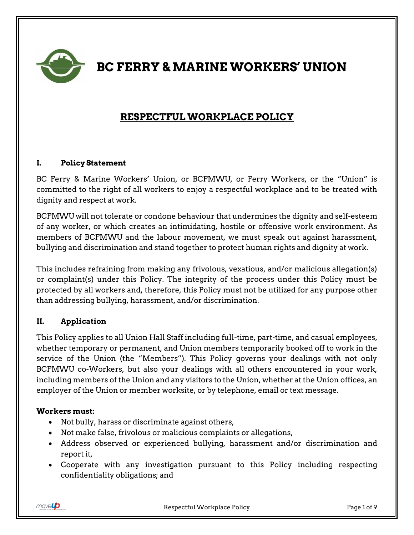

**BC FERRY & MARINE WORKERS' UNION**

# **RESPECTFUL WORKPLACE POLICY**

### **I. Policy Statement**

BC Ferry & Marine Workers' Union, or BCFMWU, or Ferry Workers, or the "Union" is committed to the right of all workers to enjoy a respectful workplace and to be treated with dignity and respect at work.

BCFMWU will not tolerate or condone behaviour that undermines the dignity and self-esteem of any worker, or which creates an intimidating, hostile or offensive work environment. As members of BCFMWU and the labour movement, we must speak out against harassment, bullying and discrimination and stand together to protect human rights and dignity at work.

This includes refraining from making any frivolous, vexatious, and/or malicious allegation(s) or complaint(s) under this Policy. The integrity of the process under this Policy must be protected by all workers and, therefore, this Policy must not be utilized for any purpose other than addressing bullying, harassment, and/or discrimination.

### **II. Application**

This Policy applies to all Union Hall Staff including full-time, part-time, and casual employees, whether temporary or permanent, and Union members temporarily booked off to work in the service of the Union (the "Members"). This Policy governs your dealings with not only BCFMWU co-Workers, but also your dealings with all others encountered in your work, including members of the Union and any visitors to the Union, whether at the Union offices, an employer of the Union or member worksite, or by telephone, email or text message.

### **Workers must:**

- Not bully, harass or discriminate against others,
- Not make false, frivolous or malicious complaints or allegations,
- Address observed or experienced bullying, harassment and/or discrimination and report it,
- Cooperate with any investigation pursuant to this Policy including respecting confidentiality obligations; and

movel**p**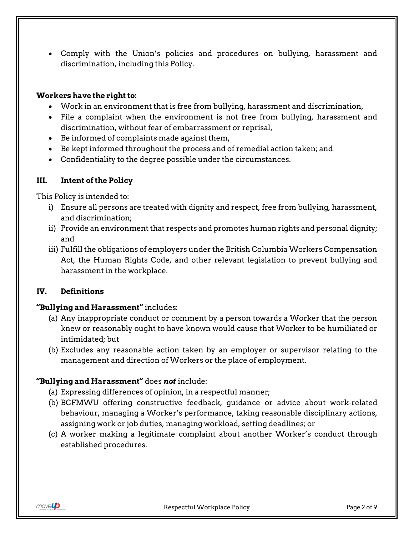Comply with the Union's policies and procedures on bullying, harassment and discrimination, including this Policy.

#### **Workers have the right to:**

- Work in an environment that is free from bullying, harassment and discrimination,
- File a complaint when the environment is not free from bullying, harassment and discrimination, without fear of embarrassment or reprisal,
- Be informed of complaints made against them,
- Be kept informed throughout the process and of remedial action taken; and
- Confidentiality to the degree possible under the circumstances.

### **III. Intent of the Policy**

This Policy is intended to:

- i) Ensure all persons are treated with dignity and respect, free from bullying, harassment, and discrimination;
- ii) Provide an environment that respects and promotes human rights and personal dignity; and
- iii) Fulfill the obligations of employers under the British Columbia Workers Compensation Act, the Human Rights Code, and other relevant legislation to prevent bullying and harassment in the workplace.

### **IV. Definitions**

### **"Bullying and Harassment"** includes:

- (a) Any inappropriate conduct or comment by a person towards a Worker that the person knew or reasonably ought to have known would cause that Worker to be humiliated or intimidated; but
- (b) Excludes any reasonable action taken by an employer or supervisor relating to the management and direction of Workers or the place of employment.

# **"Bullying and Harassment"** does *not* include:

- (a) Expressing differences of opinion, in a respectful manner;
- (b) BCFMWU offering constructive feedback, guidance or advice about work-related behaviour, managing a Worker's performance, taking reasonable disciplinary actions, assigning work or job duties, managing workload, setting deadlines; or
- (c) A worker making a legitimate complaint about another Worker's conduct through established procedures.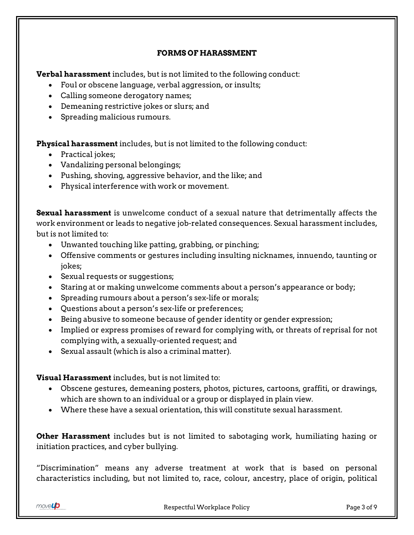#### **FORMS OF HARASSMENT**

**Verbal harassment** includes, but is not limited to the following conduct:

- Foul or obscene language, verbal aggression, or insults;
- Calling someone derogatory names;
- Demeaning restrictive jokes or slurs; and
- Spreading malicious rumours.

**Physical harassment** includes, but is not limited to the following conduct:

- Practical jokes;
- Vandalizing personal belongings;
- Pushing, shoving, aggressive behavior, and the like; and
- Physical interference with work or movement.

**Sexual harassment** is unwelcome conduct of a sexual nature that detrimentally affects the work environment or leads to negative job-related consequences. Sexual harassment includes, but is not limited to:

- Unwanted touching like patting, grabbing, or pinching;
- Offensive comments or gestures including insulting nicknames, innuendo, taunting or jokes;
- Sexual requests or suggestions;
- Staring at or making unwelcome comments about a person's appearance or body;
- Spreading rumours about a person's sex-life or morals;
- Questions about a person's sex-life or preferences;
- Being abusive to someone because of gender identity or gender expression;
- Implied or express promises of reward for complying with, or threats of reprisal for not complying with, a sexually-oriented request; and
- Sexual assault (which is also a criminal matter).

**Visual Harassment** includes, but is not limited to:

- Obscene gestures, demeaning posters, photos, pictures, cartoons, graffiti, or drawings, which are shown to an individual or a group or displayed in plain view.
- Where these have a sexual orientation, this will constitute sexual harassment.

**Other Harassment** includes but is not limited to sabotaging work, humiliating hazing or initiation practices, and cyber bullying.

"Discrimination" means any adverse treatment at work that is based on personal characteristics including, but not limited to, race, colour, ancestry, place of origin, political

 $move \rightarrow$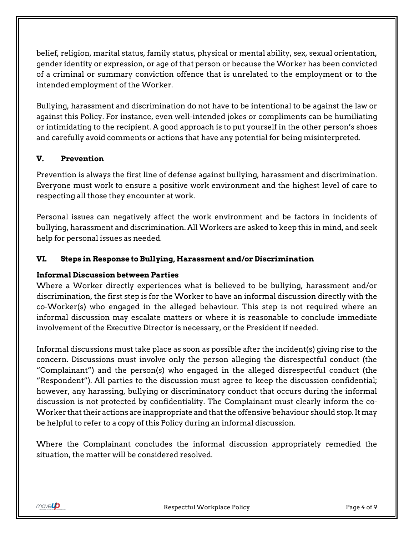belief, religion, marital status, family status, physical or mental ability, sex, sexual orientation, gender identity or expression, or age of that person or because the Worker has been convicted of a criminal or summary conviction offence that is unrelated to the employment or to the intended employment of the Worker.

Bullying, harassment and discrimination do not have to be intentional to be against the law or against this Policy. For instance, even well-intended jokes or compliments can be humiliating or intimidating to the recipient. A good approach is to put yourself in the other person's shoes and carefully avoid comments or actions that have any potential for being misinterpreted.

# **V. Prevention**

Prevention is always the first line of defense against bullying, harassment and discrimination. Everyone must work to ensure a positive work environment and the highest level of care to respecting all those they encounter at work.

Personal issues can negatively affect the work environment and be factors in incidents of bullying, harassment and discrimination. All Workers are asked to keep this in mind, and seek help for personal issues as needed.

# **VI. Steps in Response to Bullying, Harassment and/or Discrimination**

# **Informal Discussion between Parties**

Where a Worker directly experiences what is believed to be bullying, harassment and/or discrimination, the first step is for the Worker to have an informal discussion directly with the co-Worker(s) who engaged in the alleged behaviour. This step is not required where an informal discussion may escalate matters or where it is reasonable to conclude immediate involvement of the Executive Director is necessary, or the President if needed.

Informal discussions must take place as soon as possible after the incident(s) giving rise to the concern. Discussions must involve only the person alleging the disrespectful conduct (the "Complainant") and the person(s) who engaged in the alleged disrespectful conduct (the "Respondent"). All parties to the discussion must agree to keep the discussion confidential; however, any harassing, bullying or discriminatory conduct that occurs during the informal discussion is not protected by confidentiality. The Complainant must clearly inform the co-Worker that their actions are inappropriate and that the offensive behaviour should stop. It may be helpful to refer to a copy of this Policy during an informal discussion.

Where the Complainant concludes the informal discussion appropriately remedied the situation, the matter will be considered resolved.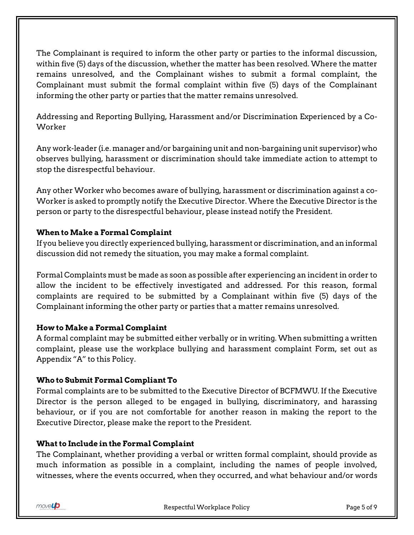The Complainant is required to inform the other party or parties to the informal discussion, within five (5) days of the discussion, whether the matter has been resolved. Where the matter remains unresolved, and the Complainant wishes to submit a formal complaint, the Complainant must submit the formal complaint within five (5) days of the Complainant informing the other party or parties that the matter remains unresolved.

Addressing and Reporting Bullying, Harassment and/or Discrimination Experienced by a Co-Worker

Any work-leader (i.e. manager and/or bargaining unit and non-bargaining unit supervisor) who observes bullying, harassment or discrimination should take immediate action to attempt to stop the disrespectful behaviour.

Any other Worker who becomes aware of bullying, harassment or discrimination against a co-Worker is asked to promptly notify the Executive Director. Where the Executive Director is the person or party to the disrespectful behaviour, please instead notify the President.

### **When to Make a Formal Complaint**

If you believe you directly experienced bullying, harassment or discrimination, and an informal discussion did not remedy the situation, you may make a formal complaint.

Formal Complaints must be made as soon as possible after experiencing an incident in order to allow the incident to be effectively investigated and addressed. For this reason, formal complaints are required to be submitted by a Complainant within five (5) days of the Complainant informing the other party or parties that a matter remains unresolved.

# **How to Make a Formal Complaint**

A formal complaint may be submitted either verbally or in writing. When submitting a written complaint, please use the workplace bullying and harassment complaint Form, set out as Appendix "A" to this Policy.

# **Who to Submit Formal Compliant To**

Formal complaints are to be submitted to the Executive Director of BCFMWU. If the Executive Director is the person alleged to be engaged in bullying, discriminatory, and harassing behaviour, or if you are not comfortable for another reason in making the report to the Executive Director, please make the report to the President.

# **What to Include in the Formal Complaint**

The Complainant, whether providing a verbal or written formal complaint, should provide as much information as possible in a complaint, including the names of people involved, witnesses, where the events occurred, when they occurred, and what behaviour and/or words

movel**p**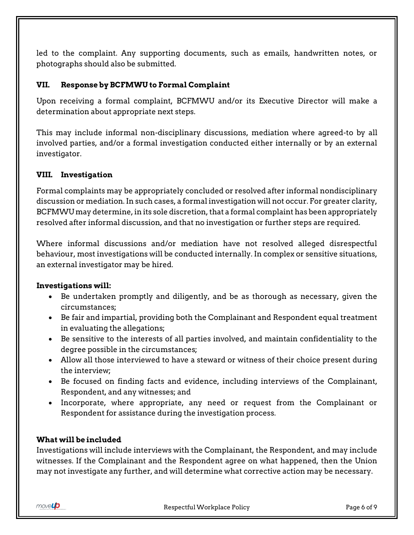led to the complaint. Any supporting documents, such as emails, handwritten notes, or photographs should also be submitted.

# **VII. Response by BCFMWU to Formal Complaint**

Upon receiving a formal complaint, BCFMWU and/or its Executive Director will make a determination about appropriate next steps.

This may include informal non-disciplinary discussions, mediation where agreed-to by all involved parties, and/or a formal investigation conducted either internally or by an external investigator.

### **VIII. Investigation**

Formal complaints may be appropriately concluded or resolved after informal nondisciplinary discussion or mediation. In such cases, a formal investigation will not occur. For greater clarity, BCFMWU may determine, in its sole discretion, that a formal complaint has been appropriately resolved after informal discussion, and that no investigation or further steps are required.

Where informal discussions and/or mediation have not resolved alleged disrespectful behaviour, most investigations will be conducted internally. In complex or sensitive situations, an external investigator may be hired.

### **Investigations will:**

- Be undertaken promptly and diligently, and be as thorough as necessary, given the circumstances;
- Be fair and impartial, providing both the Complainant and Respondent equal treatment in evaluating the allegations;
- Be sensitive to the interests of all parties involved, and maintain confidentiality to the degree possible in the circumstances;
- Allow all those interviewed to have a steward or witness of their choice present during the interview;
- Be focused on finding facts and evidence, including interviews of the Complainant, Respondent, and any witnesses; and
- Incorporate, where appropriate, any need or request from the Complainant or Respondent for assistance during the investigation process.

#### **What will be included**

Investigations will include interviews with the Complainant, the Respondent, and may include witnesses. If the Complainant and the Respondent agree on what happened, then the Union may not investigate any further, and will determine what corrective action may be necessary.

movel**p**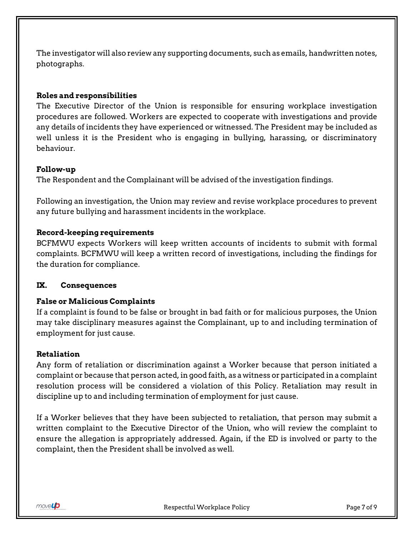The investigator will also review any supporting documents, such as emails, handwritten notes, photographs.

### **Roles and responsibilities**

The Executive Director of the Union is responsible for ensuring workplace investigation procedures are followed. Workers are expected to cooperate with investigations and provide any details of incidents they have experienced or witnessed. The President may be included as well unless it is the President who is engaging in bullying, harassing, or discriminatory behaviour.

### **Follow-up**

The Respondent and the Complainant will be advised of the investigation findings.

Following an investigation, the Union may review and revise workplace procedures to prevent any future bullying and harassment incidents in the workplace.

### **Record-keeping requirements**

BCFMWU expects Workers will keep written accounts of incidents to submit with formal complaints. BCFMWU will keep a written record of investigations, including the findings for the duration for compliance.

### **IX. Consequences**

### **False or Malicious Complaints**

If a complaint is found to be false or brought in bad faith or for malicious purposes, the Union may take disciplinary measures against the Complainant, up to and including termination of employment for just cause.

### **Retaliation**

Any form of retaliation or discrimination against a Worker because that person initiated a complaint or because that person acted, in good faith, as a witness or participated in a complaint resolution process will be considered a violation of this Policy. Retaliation may result in discipline up to and including termination of employment for just cause.

If a Worker believes that they have been subjected to retaliation, that person may submit a written complaint to the Executive Director of the Union, who will review the complaint to ensure the allegation is appropriately addressed. Again, if the ED is involved or party to the complaint, then the President shall be involved as well.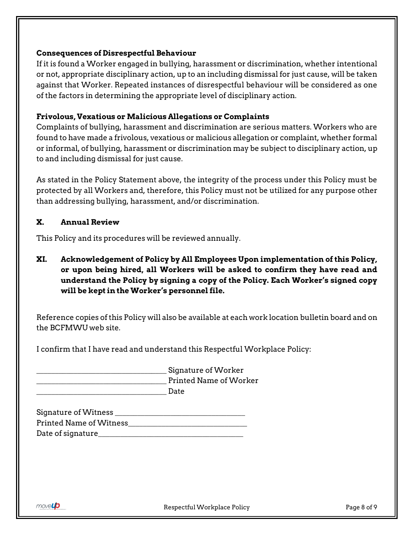#### **Consequences of Disrespectful Behaviour**

If it is found a Worker engaged in bullying, harassment or discrimination, whether intentional or not, appropriate disciplinary action, up to an including dismissal for just cause, will be taken against that Worker. Repeated instances of disrespectful behaviour will be considered as one of the factors in determining the appropriate level of disciplinary action.

### **Frivolous, Vexatious or Malicious Allegations or Complaints**

Complaints of bullying, harassment and discrimination are serious matters. Workers who are found to have made a frivolous, vexatious or malicious allegation or complaint, whether formal or informal, of bullying, harassment or discrimination may be subject to disciplinary action, up to and including dismissal for just cause.

As stated in the Policy Statement above, the integrity of the process under this Policy must be protected by all Workers and, therefore, this Policy must not be utilized for any purpose other than addressing bullying, harassment, and/or discrimination.

### **X. Annual Review**

This Policy and its procedures will be reviewed annually.

**XI. Acknowledgement of Policy by All Employees Upon implementation of this Policy, or upon being hired, all Workers will be asked to confirm they have read and understand the Policy by signing a copy of the Policy. Each Worker's signed copy will be kept in the Worker's personnel file.** 

Reference copies of this Policy will also be available at each work location bulletin board and on the BCFMWU web site.

I confirm that I have read and understand this Respectful Workplace Policy:

Signature of Worker Printed Name of Worker \_\_\_\_\_\_\_\_\_\_\_\_\_\_\_\_\_\_\_\_\_\_\_\_\_\_\_\_\_\_\_\_\_\_\_ Date

| Signature of Witness           |  |
|--------------------------------|--|
| <b>Printed Name of Witness</b> |  |
| Date of signature_             |  |